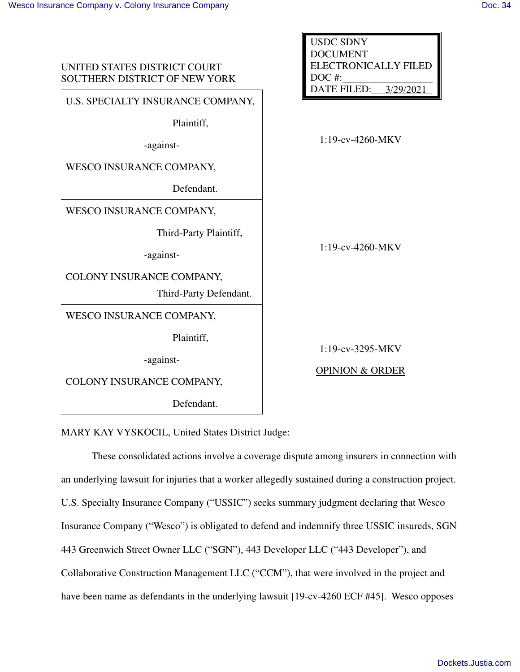| UNITED STATES DISTRICT COURT<br>SOUTHERN DISTRICT OF NEW YORK                   | <b>USDC SDNY</b><br><b>DOCUMENT</b><br>ELECTRONICALLY FILED<br>$DOC$ #:<br><b>DATE FILED:</b><br>3/29/2021 |
|---------------------------------------------------------------------------------|------------------------------------------------------------------------------------------------------------|
| U.S. SPECIALTY INSURANCE COMPANY,<br>Plaintiff,<br>-against-                    | 1:19-cv-4260-MKV                                                                                           |
| <b>WESCO INSURANCE COMPANY,</b><br>Defendant.<br>WESCO INSURANCE COMPANY,       |                                                                                                            |
| Third-Party Plaintiff,<br>-against-                                             | $1:19$ -cv-4260-MKV                                                                                        |
| COLONY INSURANCE COMPANY,<br>Third-Party Defendant.<br>WESCO INSURANCE COMPANY, |                                                                                                            |
| Plaintiff,<br>-against-<br>COLONY INSURANCE COMPANY,<br>Defendant.              | 1:19-cv-3295-MKV<br><b>OPINION &amp; ORDER</b>                                                             |

MARY KAY VYSKOCIL, United States District Judge:

These consolidated actions involve a coverage dispute among insurers in connection with an underlying lawsuit for injuries that a worker allegedly sustained during a construction project. U.S. Specialty Insurance Company ("USSIC") seeks summary judgment declaring that Wesco Insurance Company ("Wesco") is obligated to defend and indemnify three USSIC insureds, SGN 443 Greenwich Street Owner LLC ("SGN"), 443 Developer LLC ("443 Developer"), and Collaborative Construction Management LLC ("CCM"), that were involved in the project and have been name as defendants in the underlying lawsuit [19-cv-4260 ECF #45]. Wesco opposes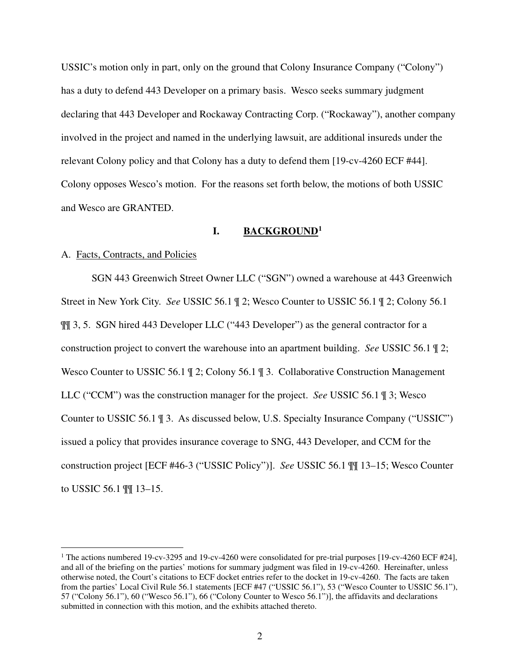USSIC's motion only in part, only on the ground that Colony Insurance Company ("Colony") has a duty to defend 443 Developer on a primary basis. Wesco seeks summary judgment declaring that 443 Developer and Rockaway Contracting Corp. ("Rockaway"), another company involved in the project and named in the underlying lawsuit, are additional insureds under the relevant Colony policy and that Colony has a duty to defend them [19-cv-4260 ECF #44]. Colony opposes Wesco's motion. For the reasons set forth below, the motions of both USSIC and Wesco are GRANTED.

# **I. BACKGROUND<sup>1</sup>**

# A. Facts, Contracts, and Policies

SGN 443 Greenwich Street Owner LLC ("SGN") owned a warehouse at 443 Greenwich Street in New York City. *See* USSIC 56.1 ¶ 2; Wesco Counter to USSIC 56.1 ¶ 2; Colony 56.1 ¶¶ 3, 5. SGN hired 443 Developer LLC ("443 Developer") as the general contractor for a construction project to convert the warehouse into an apartment building. *See* USSIC 56.1 ¶ 2; Wesco Counter to USSIC 56.1 | 2; Colony 56.1 | 3. Collaborative Construction Management LLC ("CCM") was the construction manager for the project. *See* USSIC 56.1 ¶ 3; Wesco Counter to USSIC 56.1 ¶ 3. As discussed below, U.S. Specialty Insurance Company ("USSIC") issued a policy that provides insurance coverage to SNG, 443 Developer, and CCM for the construction project [ECF #46-3 ("USSIC Policy")]. *See* USSIC 56.1 ¶¶ 13–15; Wesco Counter to USSIC 56.1 ¶¶ 13–15.

<sup>&</sup>lt;sup>1</sup> The actions numbered 19-cv-3295 and 19-cv-4260 were consolidated for pre-trial purposes [19-cv-4260 ECF #24], and all of the briefing on the parties' motions for summary judgment was filed in 19-cv-4260. Hereinafter, unless otherwise noted, the Court's citations to ECF docket entries refer to the docket in 19-cv-4260. The facts are taken from the parties' Local Civil Rule 56.1 statements [ECF #47 ("USSIC 56.1"), 53 ("Wesco Counter to USSIC 56.1"), 57 ("Colony 56.1"), 60 ("Wesco 56.1"), 66 ("Colony Counter to Wesco 56.1")], the affidavits and declarations submitted in connection with this motion, and the exhibits attached thereto.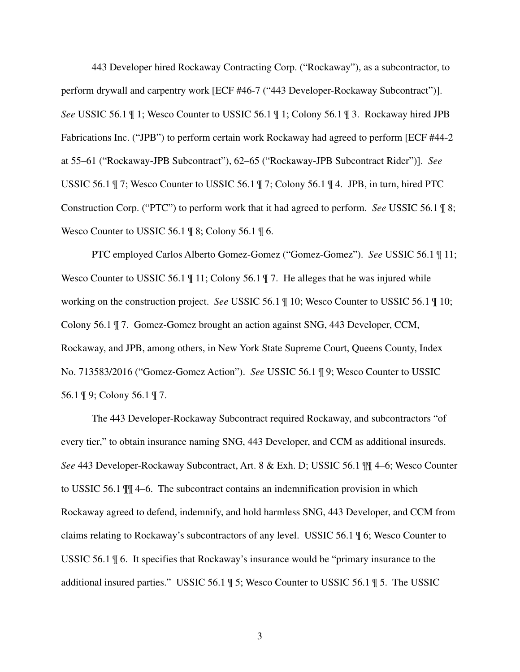443 Developer hired Rockaway Contracting Corp. ("Rockaway"), as a subcontractor, to perform drywall and carpentry work [ECF #46-7 ("443 Developer-Rockaway Subcontract")]. *See* USSIC 56.1 ¶ 1; Wesco Counter to USSIC 56.1 ¶ 1; Colony 56.1 ¶ 3. Rockaway hired JPB Fabrications Inc. ("JPB") to perform certain work Rockaway had agreed to perform [ECF #44-2 at 55–61 ("Rockaway-JPB Subcontract"), 62–65 ("Rockaway-JPB Subcontract Rider")]. *See*  USSIC 56.1 ¶ 7; Wesco Counter to USSIC 56.1 ¶ 7; Colony 56.1 ¶ 4. JPB, in turn, hired PTC Construction Corp. ("PTC") to perform work that it had agreed to perform. *See* USSIC 56.1 ¶ 8; Wesco Counter to USSIC 56.1 ¶ 8; Colony 56.1 ¶ 6.

PTC employed Carlos Alberto Gomez-Gomez ("Gomez-Gomez"). *See* USSIC 56.1 ¶ 11; Wesco Counter to USSIC 56.1  $\parallel$  11; Colony 56.1  $\parallel$  7. He alleges that he was injured while working on the construction project. *See* USSIC 56.1 ¶ 10; Wesco Counter to USSIC 56.1 ¶ 10; Colony 56.1 ¶ 7. Gomez-Gomez brought an action against SNG, 443 Developer, CCM, Rockaway, and JPB, among others, in New York State Supreme Court, Queens County, Index No. 713583/2016 ("Gomez-Gomez Action"). *See* USSIC 56.1 ¶ 9; Wesco Counter to USSIC 56.1 ¶ 9; Colony 56.1 ¶ 7.

The 443 Developer-Rockaway Subcontract required Rockaway, and subcontractors "of every tier," to obtain insurance naming SNG, 443 Developer, and CCM as additional insureds. *See* 443 Developer-Rockaway Subcontract, Art. 8 & Exh. D; USSIC 56.1 ¶¶ 4–6; Wesco Counter to USSIC 56.1 ¶¶ 4–6. The subcontract contains an indemnification provision in which Rockaway agreed to defend, indemnify, and hold harmless SNG, 443 Developer, and CCM from claims relating to Rockaway's subcontractors of any level. USSIC 56.1 ¶ 6; Wesco Counter to USSIC 56.1 ¶ 6. It specifies that Rockaway's insurance would be "primary insurance to the additional insured parties." USSIC 56.1 ¶ 5; Wesco Counter to USSIC 56.1 ¶ 5. The USSIC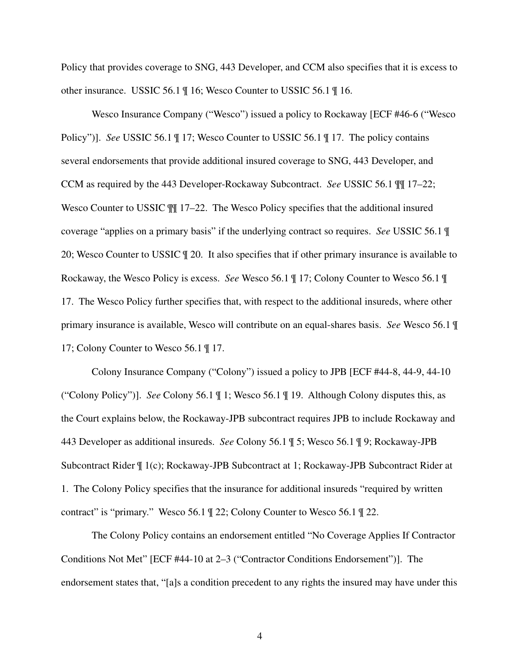Policy that provides coverage to SNG, 443 Developer, and CCM also specifies that it is excess to other insurance. USSIC 56.1 ¶ 16; Wesco Counter to USSIC 56.1 ¶ 16.

Wesco Insurance Company ("Wesco") issued a policy to Rockaway [ECF #46-6 ("Wesco Policy")]. *See* USSIC 56.1 ¶ 17; Wesco Counter to USSIC 56.1 ¶ 17. The policy contains several endorsements that provide additional insured coverage to SNG, 443 Developer, and CCM as required by the 443 Developer-Rockaway Subcontract. *See* USSIC 56.1 ¶¶ 17–22; Wesco Counter to USSIC  $\llbracket \text{H} \rrbracket$  17–22. The Wesco Policy specifies that the additional insured coverage "applies on a primary basis" if the underlying contract so requires. *See* USSIC 56.1 ¶ 20; Wesco Counter to USSIC ¶ 20. It also specifies that if other primary insurance is available to Rockaway, the Wesco Policy is excess. *See* Wesco 56.1 ¶ 17; Colony Counter to Wesco 56.1 ¶ 17. The Wesco Policy further specifies that, with respect to the additional insureds, where other primary insurance is available, Wesco will contribute on an equal-shares basis. *See* Wesco 56.1 ¶ 17; Colony Counter to Wesco 56.1 ¶ 17.

Colony Insurance Company ("Colony") issued a policy to JPB [ECF #44-8, 44-9, 44-10 ("Colony Policy")]. *See* Colony 56.1 ¶ 1; Wesco 56.1 ¶ 19. Although Colony disputes this, as the Court explains below, the Rockaway-JPB subcontract requires JPB to include Rockaway and 443 Developer as additional insureds. *See* Colony 56.1 ¶ 5; Wesco 56.1 ¶ 9; Rockaway-JPB Subcontract Rider ¶ 1(c); Rockaway-JPB Subcontract at 1; Rockaway-JPB Subcontract Rider at 1. The Colony Policy specifies that the insurance for additional insureds "required by written contract" is "primary." Wesco 56.1 ¶ 22; Colony Counter to Wesco 56.1 ¶ 22.

The Colony Policy contains an endorsement entitled "No Coverage Applies If Contractor Conditions Not Met" [ECF #44-10 at 2–3 ("Contractor Conditions Endorsement")]. The endorsement states that, "[a]s a condition precedent to any rights the insured may have under this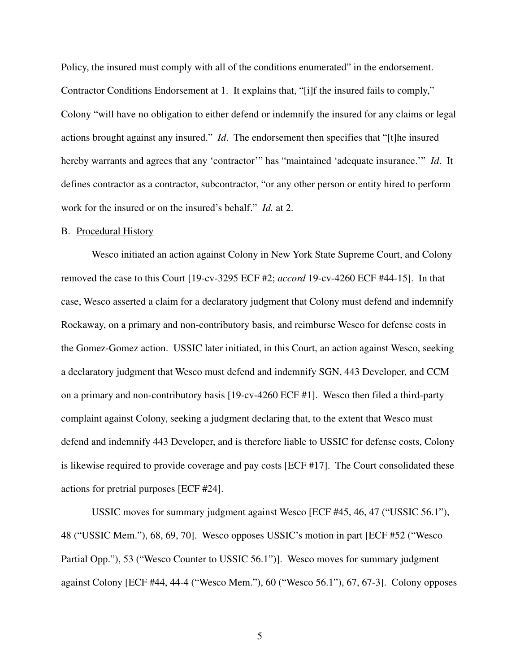Policy, the insured must comply with all of the conditions enumerated" in the endorsement. Contractor Conditions Endorsement at 1. It explains that, "[i]f the insured fails to comply," Colony "will have no obligation to either defend or indemnify the insured for any claims or legal actions brought against any insured." *Id*. The endorsement then specifies that "[t]he insured hereby warrants and agrees that any 'contractor'" has "maintained 'adequate insurance.'" *Id*. It defines contractor as a contractor, subcontractor, "or any other person or entity hired to perform work for the insured or on the insured's behalf." *Id.* at 2.

#### B. Procedural History

Wesco initiated an action against Colony in New York State Supreme Court, and Colony removed the case to this Court [19-cv-3295 ECF #2; *accord* 19-cv-4260 ECF #44-15]. In that case, Wesco asserted a claim for a declaratory judgment that Colony must defend and indemnify Rockaway, on a primary and non-contributory basis, and reimburse Wesco for defense costs in the Gomez-Gomez action. USSIC later initiated, in this Court, an action against Wesco, seeking a declaratory judgment that Wesco must defend and indemnify SGN, 443 Developer, and CCM on a primary and non-contributory basis [19-cv-4260 ECF #1]. Wesco then filed a third-party complaint against Colony, seeking a judgment declaring that, to the extent that Wesco must defend and indemnify 443 Developer, and is therefore liable to USSIC for defense costs, Colony is likewise required to provide coverage and pay costs [ECF #17]. The Court consolidated these actions for pretrial purposes [ECF #24].

USSIC moves for summary judgment against Wesco [ECF #45, 46, 47 ("USSIC 56.1"), 48 ("USSIC Mem."), 68, 69, 70]. Wesco opposes USSIC's motion in part [ECF #52 ("Wesco Partial Opp."), 53 ("Wesco Counter to USSIC 56.1")]. Wesco moves for summary judgment against Colony [ECF #44, 44-4 ("Wesco Mem."), 60 ("Wesco 56.1"), 67, 67-3]. Colony opposes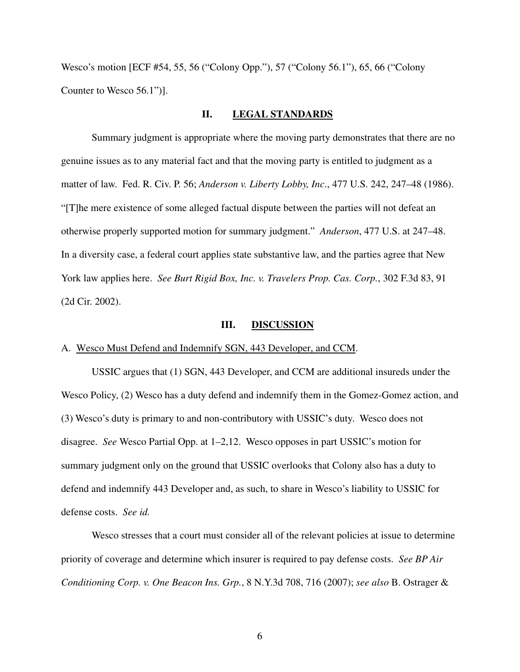Wesco's motion [ECF #54, 55, 56 ("Colony Opp."), 57 ("Colony 56.1"), 65, 66 ("Colony Counter to Wesco 56.1")].

## **II. LEGAL STANDARDS**

Summary judgment is appropriate where the moving party demonstrates that there are no genuine issues as to any material fact and that the moving party is entitled to judgment as a matter of law. Fed. R. Civ. P. 56; *Anderson v. Liberty Lobby, Inc*., 477 U.S. 242, 247–48 (1986). "[T]he mere existence of some alleged factual dispute between the parties will not defeat an otherwise properly supported motion for summary judgment." *Anderson*, 477 U.S. at 247–48. In a diversity case, a federal court applies state substantive law, and the parties agree that New York law applies here. *See Burt Rigid Box, Inc. v. Travelers Prop. Cas. Corp.*, 302 F.3d 83, 91 (2d Cir. 2002).

#### **III. DISCUSSION**

#### A. Wesco Must Defend and Indemnify SGN, 443 Developer, and CCM.

USSIC argues that (1) SGN, 443 Developer, and CCM are additional insureds under the Wesco Policy, (2) Wesco has a duty defend and indemnify them in the Gomez-Gomez action, and (3) Wesco's duty is primary to and non-contributory with USSIC's duty. Wesco does not disagree. *See* Wesco Partial Opp. at 1–2,12. Wesco opposes in part USSIC's motion for summary judgment only on the ground that USSIC overlooks that Colony also has a duty to defend and indemnify 443 Developer and, as such, to share in Wesco's liability to USSIC for defense costs. *See id.*

Wesco stresses that a court must consider all of the relevant policies at issue to determine priority of coverage and determine which insurer is required to pay defense costs. *See BP Air Conditioning Corp. v. One Beacon Ins. Grp.*, 8 N.Y.3d 708, 716 (2007); *see also* B. Ostrager &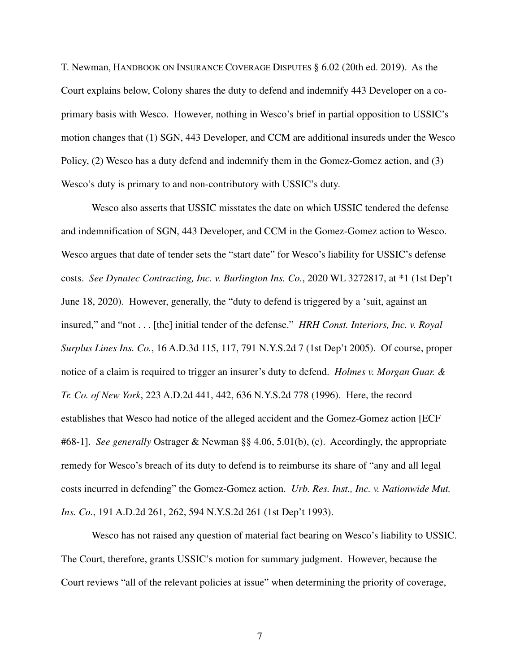T. Newman, HANDBOOK ON INSURANCE COVERAGE DISPUTES § 6.02 (20th ed. 2019). As the Court explains below, Colony shares the duty to defend and indemnify 443 Developer on a coprimary basis with Wesco. However, nothing in Wesco's brief in partial opposition to USSIC's motion changes that (1) SGN, 443 Developer, and CCM are additional insureds under the Wesco Policy, (2) Wesco has a duty defend and indemnify them in the Gomez-Gomez action, and (3) Wesco's duty is primary to and non-contributory with USSIC's duty.

Wesco also asserts that USSIC misstates the date on which USSIC tendered the defense and indemnification of SGN, 443 Developer, and CCM in the Gomez-Gomez action to Wesco. Wesco argues that date of tender sets the "start date" for Wesco's liability for USSIC's defense costs. *See Dynatec Contracting, Inc. v. Burlington Ins. Co.*, 2020 WL 3272817, at \*1 (1st Dep't June 18, 2020). However, generally, the "duty to defend is triggered by a 'suit, against an insured," and "not . . . [the] initial tender of the defense." *HRH Const. Interiors, Inc. v. Royal Surplus Lines Ins. Co.*, 16 A.D.3d 115, 117, 791 N.Y.S.2d 7 (1st Dep't 2005). Of course, proper notice of a claim is required to trigger an insurer's duty to defend. *Holmes v. Morgan Guar. & Tr. Co. of New York*, 223 A.D.2d 441, 442, 636 N.Y.S.2d 778 (1996). Here, the record establishes that Wesco had notice of the alleged accident and the Gomez-Gomez action [ECF #68-1]. *See generally* Ostrager & Newman §§ 4.06, 5.01(b), (c). Accordingly, the appropriate remedy for Wesco's breach of its duty to defend is to reimburse its share of "any and all legal costs incurred in defending" the Gomez-Gomez action. *Urb. Res. Inst., Inc. v. Nationwide Mut. Ins. Co.*, 191 A.D.2d 261, 262, 594 N.Y.S.2d 261 (1st Dep't 1993).

Wesco has not raised any question of material fact bearing on Wesco's liability to USSIC. The Court, therefore, grants USSIC's motion for summary judgment. However, because the Court reviews "all of the relevant policies at issue" when determining the priority of coverage,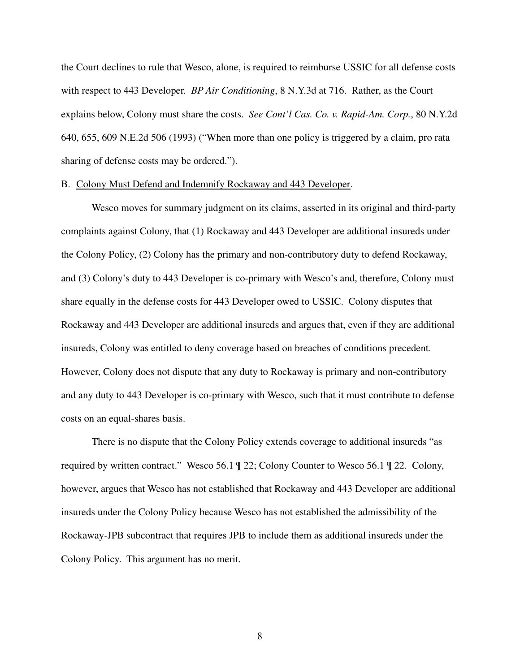the Court declines to rule that Wesco, alone, is required to reimburse USSIC for all defense costs with respect to 443 Developer. *BP Air Conditioning*, 8 N.Y.3d at 716. Rather, as the Court explains below, Colony must share the costs. *See Cont'l Cas. Co. v. Rapid-Am. Corp.*, 80 N.Y.2d 640, 655, 609 N.E.2d 506 (1993) ("When more than one policy is triggered by a claim, pro rata sharing of defense costs may be ordered.").

## B. Colony Must Defend and Indemnify Rockaway and 443 Developer.

Wesco moves for summary judgment on its claims, asserted in its original and third-party complaints against Colony, that (1) Rockaway and 443 Developer are additional insureds under the Colony Policy, (2) Colony has the primary and non-contributory duty to defend Rockaway, and (3) Colony's duty to 443 Developer is co-primary with Wesco's and, therefore, Colony must share equally in the defense costs for 443 Developer owed to USSIC. Colony disputes that Rockaway and 443 Developer are additional insureds and argues that, even if they are additional insureds, Colony was entitled to deny coverage based on breaches of conditions precedent. However, Colony does not dispute that any duty to Rockaway is primary and non-contributory and any duty to 443 Developer is co-primary with Wesco, such that it must contribute to defense costs on an equal-shares basis.

There is no dispute that the Colony Policy extends coverage to additional insureds "as required by written contract." Wesco 56.1 ¶ 22; Colony Counter to Wesco 56.1 ¶ 22. Colony, however, argues that Wesco has not established that Rockaway and 443 Developer are additional insureds under the Colony Policy because Wesco has not established the admissibility of the Rockaway-JPB subcontract that requires JPB to include them as additional insureds under the Colony Policy. This argument has no merit.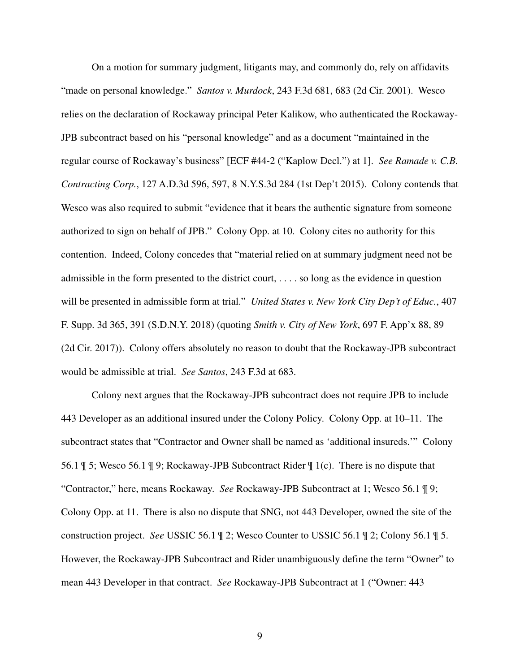On a motion for summary judgment, litigants may, and commonly do, rely on affidavits "made on personal knowledge." *Santos v. Murdock*, 243 F.3d 681, 683 (2d Cir. 2001). Wesco relies on the declaration of Rockaway principal Peter Kalikow, who authenticated the Rockaway-JPB subcontract based on his "personal knowledge" and as a document "maintained in the regular course of Rockaway's business" [ECF #44-2 ("Kaplow Decl.") at 1]. *See Ramade v. C.B. Contracting Corp.*, 127 A.D.3d 596, 597, 8 N.Y.S.3d 284 (1st Dep't 2015). Colony contends that Wesco was also required to submit "evidence that it bears the authentic signature from someone authorized to sign on behalf of JPB." Colony Opp. at 10. Colony cites no authority for this contention. Indeed, Colony concedes that "material relied on at summary judgment need not be admissible in the form presented to the district court, . . . . so long as the evidence in question will be presented in admissible form at trial." *United States v. New York City Dep't of Educ.*, 407 F. Supp. 3d 365, 391 (S.D.N.Y. 2018) (quoting *Smith v. City of New York*, 697 F. App'x 88, 89 (2d Cir. 2017)). Colony offers absolutely no reason to doubt that the Rockaway-JPB subcontract would be admissible at trial. *See Santos*, 243 F.3d at 683.

Colony next argues that the Rockaway-JPB subcontract does not require JPB to include 443 Developer as an additional insured under the Colony Policy. Colony Opp. at 10–11. The subcontract states that "Contractor and Owner shall be named as 'additional insureds.'" Colony 56.1 ¶ 5; Wesco 56.1 ¶ 9; Rockaway-JPB Subcontract Rider ¶ 1(c). There is no dispute that "Contractor," here, means Rockaway. *See* Rockaway-JPB Subcontract at 1; Wesco 56.1 ¶ 9; Colony Opp. at 11. There is also no dispute that SNG, not 443 Developer, owned the site of the construction project. *See* USSIC 56.1 ¶ 2; Wesco Counter to USSIC 56.1 ¶ 2; Colony 56.1 ¶ 5. However, the Rockaway-JPB Subcontract and Rider unambiguously define the term "Owner" to mean 443 Developer in that contract. *See* Rockaway-JPB Subcontract at 1 ("Owner: 443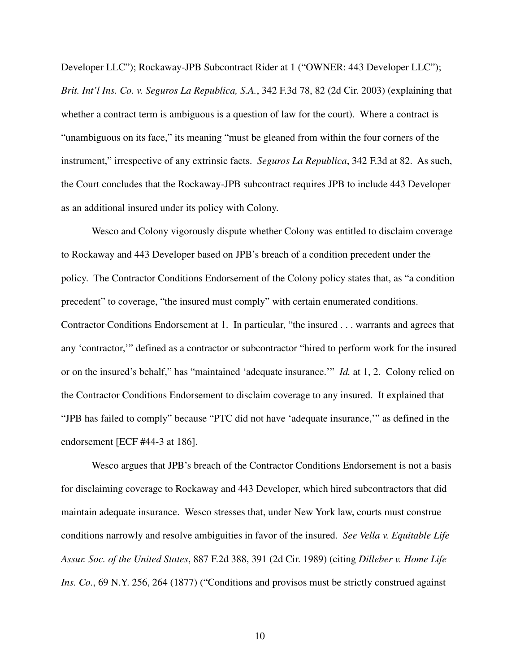Developer LLC"); Rockaway-JPB Subcontract Rider at 1 ("OWNER: 443 Developer LLC"); *Brit. Int'l Ins. Co. v. Seguros La Republica, S.A.*, 342 F.3d 78, 82 (2d Cir. 2003) (explaining that whether a contract term is ambiguous is a question of law for the court). Where a contract is "unambiguous on its face," its meaning "must be gleaned from within the four corners of the instrument," irrespective of any extrinsic facts. *Seguros La Republica*, 342 F.3d at 82. As such, the Court concludes that the Rockaway-JPB subcontract requires JPB to include 443 Developer as an additional insured under its policy with Colony.

Wesco and Colony vigorously dispute whether Colony was entitled to disclaim coverage to Rockaway and 443 Developer based on JPB's breach of a condition precedent under the policy. The Contractor Conditions Endorsement of the Colony policy states that, as "a condition precedent" to coverage, "the insured must comply" with certain enumerated conditions. Contractor Conditions Endorsement at 1. In particular, "the insured . . . warrants and agrees that any 'contractor,'" defined as a contractor or subcontractor "hired to perform work for the insured or on the insured's behalf," has "maintained 'adequate insurance.'" *Id.* at 1, 2. Colony relied on the Contractor Conditions Endorsement to disclaim coverage to any insured. It explained that "JPB has failed to comply" because "PTC did not have 'adequate insurance,'" as defined in the endorsement [ECF #44-3 at 186].

Wesco argues that JPB's breach of the Contractor Conditions Endorsement is not a basis for disclaiming coverage to Rockaway and 443 Developer, which hired subcontractors that did maintain adequate insurance. Wesco stresses that, under New York law, courts must construe conditions narrowly and resolve ambiguities in favor of the insured. *See Vella v. Equitable Life Assur. Soc. of the United States*, 887 F.2d 388, 391 (2d Cir. 1989) (citing *Dilleber v. Home Life Ins. Co.*, 69 N.Y. 256, 264 (1877) ("Conditions and provisos must be strictly construed against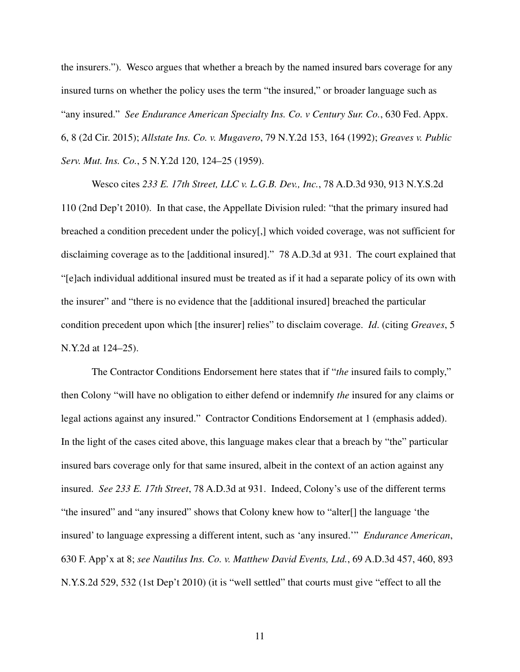the insurers."). Wesco argues that whether a breach by the named insured bars coverage for any insured turns on whether the policy uses the term "the insured," or broader language such as "any insured." *See Endurance American Specialty Ins. Co. v Century Sur. Co.*, 630 Fed. Appx. 6, 8 (2d Cir. 2015); *Allstate Ins. Co. v. Mugavero*, 79 N.Y.2d 153, 164 (1992); *Greaves v. Public Serv. Mut. Ins. Co.*, 5 N.Y.2d 120, 124–25 (1959).

Wesco cites *233 E. 17th Street, LLC v. L.G.B. Dev., Inc.*, 78 A.D.3d 930, 913 N.Y.S.2d 110 (2nd Dep't 2010). In that case, the Appellate Division ruled: "that the primary insured had breached a condition precedent under the policy[,] which voided coverage, was not sufficient for disclaiming coverage as to the [additional insured]." 78 A.D.3d at 931. The court explained that "[e]ach individual additional insured must be treated as if it had a separate policy of its own with the insurer" and "there is no evidence that the [additional insured] breached the particular condition precedent upon which [the insurer] relies" to disclaim coverage. *Id*. (citing *Greaves*, 5 N.Y.2d at 124–25).

The Contractor Conditions Endorsement here states that if "*the* insured fails to comply," then Colony "will have no obligation to either defend or indemnify *the* insured for any claims or legal actions against any insured." Contractor Conditions Endorsement at 1 (emphasis added). In the light of the cases cited above, this language makes clear that a breach by "the" particular insured bars coverage only for that same insured, albeit in the context of an action against any insured. *See 233 E. 17th Street*, 78 A.D.3d at 931. Indeed, Colony's use of the different terms "the insured" and "any insured" shows that Colony knew how to "alter[] the language 'the insured' to language expressing a different intent, such as 'any insured.'" *Endurance American*, 630 F. App'x at 8; *see Nautilus Ins. Co. v. Matthew David Events, Ltd.*, 69 A.D.3d 457, 460, 893 N.Y.S.2d 529, 532 (1st Dep't 2010) (it is "well settled" that courts must give "effect to all the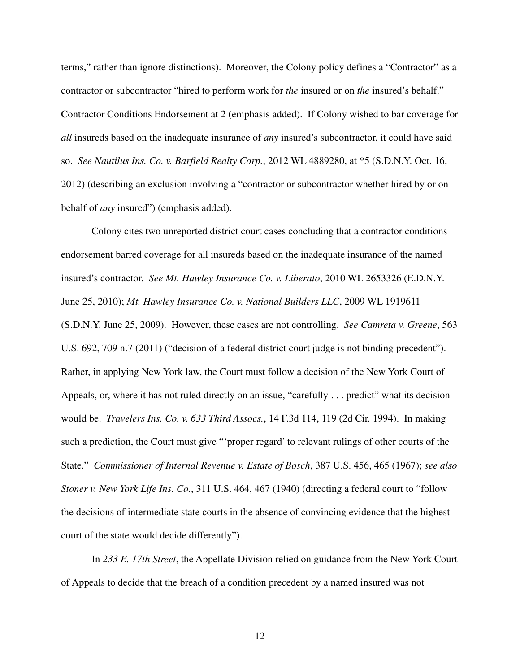terms," rather than ignore distinctions). Moreover, the Colony policy defines a "Contractor" as a contractor or subcontractor "hired to perform work for *the* insured or on *the* insured's behalf." Contractor Conditions Endorsement at 2 (emphasis added). If Colony wished to bar coverage for *all* insureds based on the inadequate insurance of *any* insured's subcontractor, it could have said so. *See Nautilus Ins. Co. v. Barfield Realty Corp.*, 2012 WL 4889280, at \*5 (S.D.N.Y. Oct. 16, 2012) (describing an exclusion involving a "contractor or subcontractor whether hired by or on behalf of *any* insured") (emphasis added).

Colony cites two unreported district court cases concluding that a contractor conditions endorsement barred coverage for all insureds based on the inadequate insurance of the named insured's contractor. *See Mt. Hawley Insurance Co. v. Liberato*, 2010 WL 2653326 (E.D.N.Y. June 25, 2010); *Mt. Hawley Insurance Co. v. National Builders LLC*, 2009 WL 1919611 (S.D.N.Y. June 25, 2009). However, these cases are not controlling. *See Camreta v. Greene*, 563 U.S. 692, 709 n.7 (2011) ("decision of a federal district court judge is not binding precedent"). Rather, in applying New York law, the Court must follow a decision of the New York Court of Appeals, or, where it has not ruled directly on an issue, "carefully . . . predict" what its decision would be. *Travelers Ins. Co. v. 633 Third Assocs.*, 14 F.3d 114, 119 (2d Cir. 1994). In making such a prediction, the Court must give "'proper regard' to relevant rulings of other courts of the State." *Commissioner of Internal Revenue v. Estate of Bosch*, 387 U.S. 456, 465 (1967); *see also Stoner v. New York Life Ins. Co.*, 311 U.S. 464, 467 (1940) (directing a federal court to "follow the decisions of intermediate state courts in the absence of convincing evidence that the highest court of the state would decide differently").

In *233 E. 17th Street*, the Appellate Division relied on guidance from the New York Court of Appeals to decide that the breach of a condition precedent by a named insured was not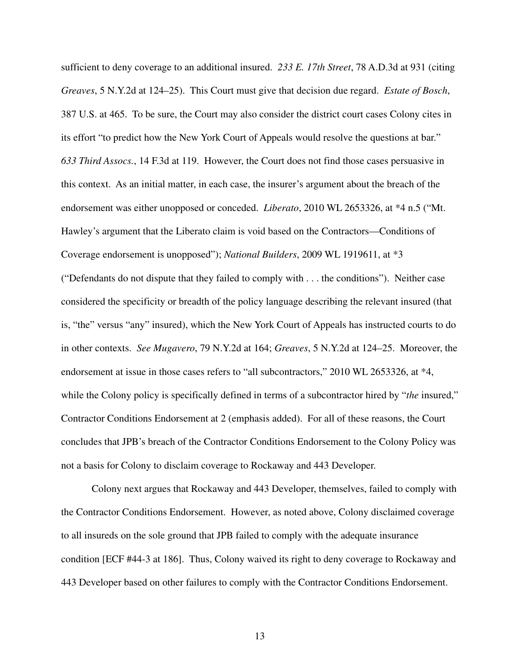sufficient to deny coverage to an additional insured. *233 E. 17th Street*, 78 A.D.3d at 931 (citing *Greaves*, 5 N.Y.2d at 124–25). This Court must give that decision due regard. *Estate of Bosch*, 387 U.S. at 465. To be sure, the Court may also consider the district court cases Colony cites in its effort "to predict how the New York Court of Appeals would resolve the questions at bar." *633 Third Assocs.*, 14 F.3d at 119. However, the Court does not find those cases persuasive in this context. As an initial matter, in each case, the insurer's argument about the breach of the endorsement was either unopposed or conceded. *Liberato*, 2010 WL 2653326, at \*4 n.5 ("Mt. Hawley's argument that the Liberato claim is void based on the Contractors—Conditions of Coverage endorsement is unopposed"); *National Builders*, 2009 WL 1919611, at \*3

("Defendants do not dispute that they failed to comply with . . . the conditions"). Neither case considered the specificity or breadth of the policy language describing the relevant insured (that is, "the" versus "any" insured), which the New York Court of Appeals has instructed courts to do in other contexts. *See Mugavero*, 79 N.Y.2d at 164; *Greaves*, 5 N.Y.2d at 124–25. Moreover, the endorsement at issue in those cases refers to "all subcontractors," 2010 WL 2653326, at \*4, while the Colony policy is specifically defined in terms of a subcontractor hired by "*the* insured," Contractor Conditions Endorsement at 2 (emphasis added). For all of these reasons, the Court concludes that JPB's breach of the Contractor Conditions Endorsement to the Colony Policy was not a basis for Colony to disclaim coverage to Rockaway and 443 Developer.

Colony next argues that Rockaway and 443 Developer, themselves, failed to comply with the Contractor Conditions Endorsement. However, as noted above, Colony disclaimed coverage to all insureds on the sole ground that JPB failed to comply with the adequate insurance condition [ECF #44-3 at 186]. Thus, Colony waived its right to deny coverage to Rockaway and 443 Developer based on other failures to comply with the Contractor Conditions Endorsement.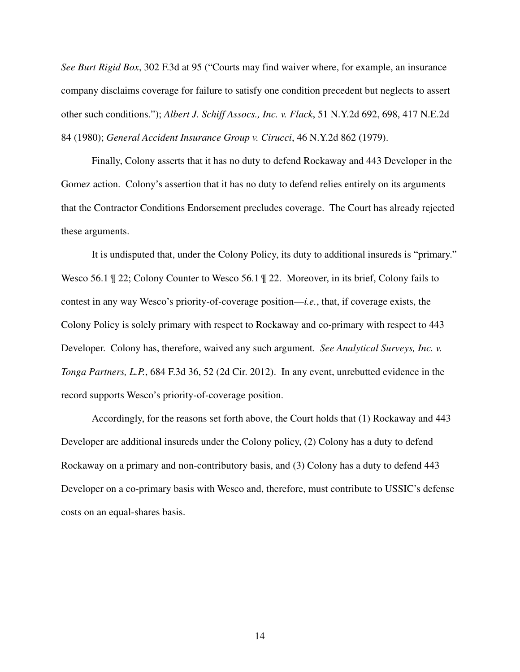*See Burt Rigid Box*, 302 F.3d at 95 ("Courts may find waiver where, for example, an insurance company disclaims coverage for failure to satisfy one condition precedent but neglects to assert other such conditions."); *Albert J. Schiff Assocs., Inc. v. Flack*, 51 N.Y.2d 692, 698, 417 N.E.2d 84 (1980); *General Accident Insurance Group v. Cirucci*, 46 N.Y.2d 862 (1979).

Finally, Colony asserts that it has no duty to defend Rockaway and 443 Developer in the Gomez action. Colony's assertion that it has no duty to defend relies entirely on its arguments that the Contractor Conditions Endorsement precludes coverage. The Court has already rejected these arguments.

It is undisputed that, under the Colony Policy, its duty to additional insureds is "primary." Wesco 56.1 ¶ 22; Colony Counter to Wesco 56.1 ¶ 22. Moreover, in its brief, Colony fails to contest in any way Wesco's priority-of-coverage position—*i.e.*, that, if coverage exists, the Colony Policy is solely primary with respect to Rockaway and co-primary with respect to 443 Developer. Colony has, therefore, waived any such argument. *See Analytical Surveys, Inc. v. Tonga Partners, L.P.*, 684 F.3d 36, 52 (2d Cir. 2012). In any event, unrebutted evidence in the record supports Wesco's priority-of-coverage position.

Accordingly, for the reasons set forth above, the Court holds that (1) Rockaway and 443 Developer are additional insureds under the Colony policy, (2) Colony has a duty to defend Rockaway on a primary and non-contributory basis, and (3) Colony has a duty to defend 443 Developer on a co-primary basis with Wesco and, therefore, must contribute to USSIC's defense costs on an equal-shares basis.